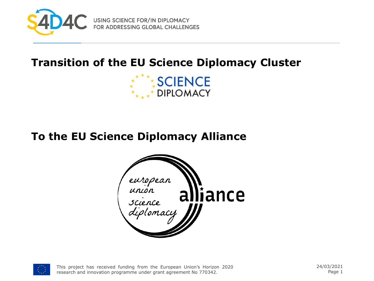

USING SCIENCE FOR/IN DIPLOMACY<br>FOR ADDRESSING GLOBAL CHALLENGES

#### **Transition of the EU Science Diplomacy Cluster**



#### **To the EU Science Diplomacy Alliance**





This project has received funding from the European Union's Horizon 2020 research and innovation programme under grant agreement No 770342.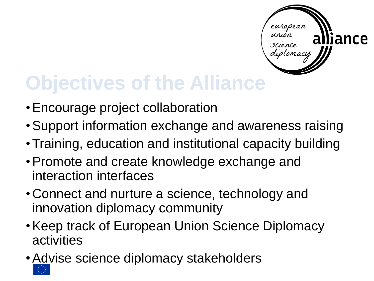

## **Objectives of the Alliance**

- •Encourage project collaboration
- •Support information exchange and awareness raising
- •Training, education and institutional capacity building
- •Promote and create knowledge exchange and interaction interfaces
- Connect and nurture a science, technology and innovation diplomacy community
- •Keep track of European Union Science Diplomacy activities
- •Advise science diplomacy stakeholders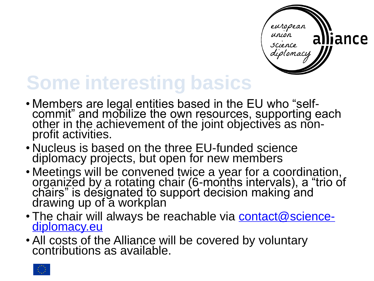

## **Some interesting basics**

- Members are legal entities based in the EU who "selfcommit" and mobilize the own resources, supporting each other in the achievement of the joint objectives as nonprofit activities.
- Nucleus is based on the three EU-funded science diplomacy projects, but open for new members
- Meetings will be convened twice a year for a coordination, organized by a rotating chair (6-months intervals), a "trio of chairs" is designated to support decision making and drawing up of a workplan
- The chair will always be reachable via **contact@science**diplomacy.eu
- All costs of the Alliance will be covered by voluntary contributions as available.

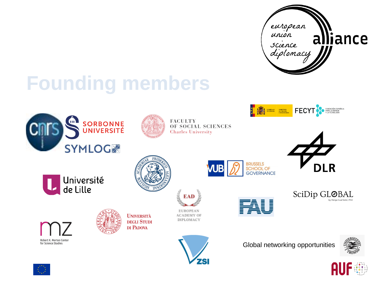

#### **Founding members**





**FACULTY** OF SOCIAL SCIENCES **Charles University** 

EAD

**EUROPEAN** 

**ACADEMY OF** DIPLOMACY





















**UNIVERSITÀ DEGLI STUDI** DI PADOVA



SciDip GL@BAL by Marga Gual Soler, PhD









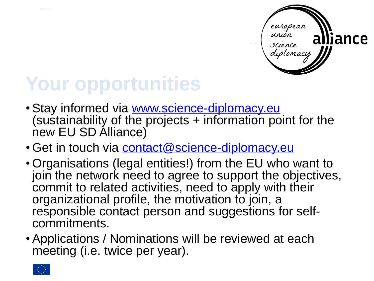

# **Your opportunities**

- Stay informed via [www.science-diplomacy.eu](http://www.science-diplomacy.eu/) (sustainability of the projects + information point for the new EU SD Alliance)
- Get in touch via [contact@science-diplomacy.eu](mailto:contact@science-diplomacy.eu)
- Organisations (legal entities!) from the EU who want to join the network need to agree to support the objectives, commit to related activities, need to apply with their organizational profile, the motivation to join, a responsible contact person and suggestions for selfcommitments.
- Applications / Nominations will be reviewed at each meeting (i.e. twice per year).